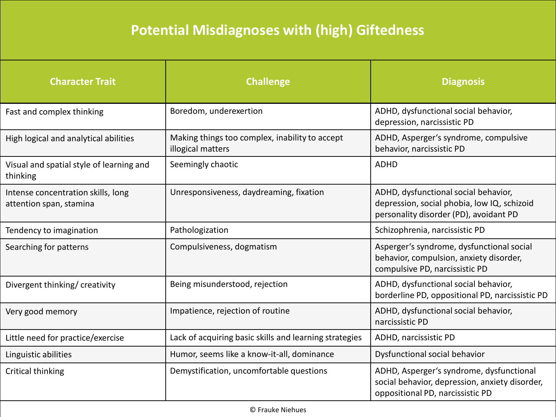## **Potential Misdiagnoses with (high) Giftedness**

| <b>Character Trait</b>                                        | <b>Challenge</b>                                                    | <b>Diagnosis</b>                                                                                                               |
|---------------------------------------------------------------|---------------------------------------------------------------------|--------------------------------------------------------------------------------------------------------------------------------|
| Fast and complex thinking                                     | Boredom, underexertion                                              | ADHD, dysfunctional social behavior,<br>depression, narcissistic PD                                                            |
| High logical and analytical abilities                         | Making things too complex, inability to accept<br>illogical matters | ADHD, Asperger's syndrome, compulsive<br>behavior, narcissistic PD                                                             |
| Visual and spatial style of learning and<br>thinking          | Seemingly chaotic                                                   | <b>ADHD</b>                                                                                                                    |
| Intense concentration skills, long<br>attention span, stamina | Unresponsiveness, daydreaming, fixation                             | ADHD, dysfunctional social behavior,<br>depression, social phobia, low IQ, schizoid<br>personality disorder (PD), avoidant PD  |
| Tendency to imagination                                       | Pathologization                                                     | Schizophrenia, narcissistic PD                                                                                                 |
| Searching for patterns                                        | Compulsiveness, dogmatism                                           | Asperger's syndrome, dysfunctional social<br>behavior, compulsion, anxiety disorder,<br>compulsive PD, narcissistic PD         |
| Divergent thinking/ creativity                                | Being misunderstood, rejection                                      | ADHD, dysfunctional social behavior,<br>borderline PD, oppositional PD, narcissistic PD                                        |
| Very good memory                                              | Impatience, rejection of routine                                    | ADHD, dysfunctional social behavior,<br>narcissistic PD                                                                        |
| Little need for practice/exercise                             | Lack of acquiring basic skills and learning strategies              | ADHD, narcissistic PD                                                                                                          |
| Linguistic abilities                                          | Humor, seems like a know-it-all, dominance                          | Dysfunctional social behavior                                                                                                  |
| Critical thinking                                             | Demystification, uncomfortable questions                            | ADHD, Asperger's syndrome, dysfunctional<br>social behavior, depression, anxiety disorder,<br>oppositional PD, narcissistic PD |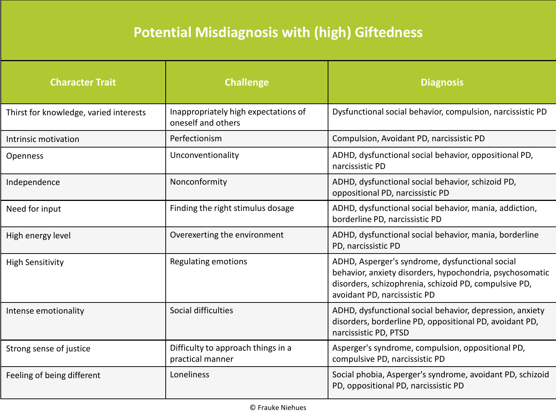## **Potential Misdiagnosis with (high) Giftedness**

| <b>Character Trait</b>                 | <b>Challenge</b>                                           | <b>Diagnosis</b>                                                                                                                                                                                     |
|----------------------------------------|------------------------------------------------------------|------------------------------------------------------------------------------------------------------------------------------------------------------------------------------------------------------|
| Thirst for knowledge, varied interests | Inappropriately high expectations of<br>oneself and others | Dysfunctional social behavior, compulsion, narcissistic PD                                                                                                                                           |
| Intrinsic motivation                   | Perfectionism                                              | Compulsion, Avoidant PD, narcissistic PD                                                                                                                                                             |
| <b>Openness</b>                        | Unconventionality                                          | ADHD, dysfunctional social behavior, oppositional PD,<br>narcissistic PD                                                                                                                             |
| Independence                           | Nonconformity                                              | ADHD, dysfunctional social behavior, schizoid PD,<br>oppositional PD, narcissistic PD                                                                                                                |
| Need for input                         | Finding the right stimulus dosage                          | ADHD, dysfunctional social behavior, mania, addiction,<br>borderline PD, narcissistic PD                                                                                                             |
| High energy level                      | Overexerting the environment                               | ADHD, dysfunctional social behavior, mania, borderline<br>PD, narcissistic PD                                                                                                                        |
| <b>High Sensitivity</b>                | Regulating emotions                                        | ADHD, Asperger's syndrome, dysfunctional social<br>behavior, anxiety disorders, hypochondria, psychosomatic<br>disorders, schizophrenia, schizoid PD, compulsive PD,<br>avoidant PD, narcissistic PD |
| Intense emotionality                   | Social difficulties                                        | ADHD, dysfunctional social behavior, depression, anxiety<br>disorders, borderline PD, oppositional PD, avoidant PD,<br>narcissistic PD, PTSD                                                         |
| Strong sense of justice                | Difficulty to approach things in a<br>practical manner     | Asperger's syndrome, compulsion, oppositional PD,<br>compulsive PD, narcissistic PD                                                                                                                  |
| Feeling of being different             | Loneliness                                                 | Social phobia, Asperger's syndrome, avoidant PD, schizoid<br>PD, oppositional PD, narcissistic PD                                                                                                    |